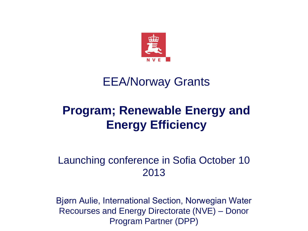

#### EEA/Norway Grants

#### **Program; Renewable Energy and Energy Efficiency**

#### Launching conference in Sofia October 10 2013

Bjørn Aulie, International Section, Norwegian Water Recourses and Energy Directorate (NVE) – Donor Program Partner (DPP)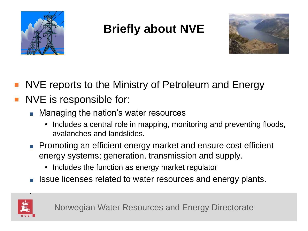

## **Briefly about NVE**



- NVE reports to the Ministry of Petroleum and Energy
- NVE is responsible for:
	- Managing the nation's water resources
		- Includes a central role in mapping, monitoring and preventing floods, avalanches and landslides.
	- Promoting an efficient energy market and ensure cost efficient energy systems; generation, transmission and supply.
		- Includes the function as energy market regulator
	- Issue licenses related to water resources and energy plants.



.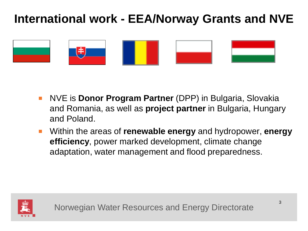#### **International work - EEA/Norway Grants and NVE**



- NVE is **Donor Program Partner** (DPP) in Bulgaria, Slovakia and Romania, as well as **project partner** in Bulgaria, Hungary and Poland.
- Within the areas of **renewable energy** and hydropower, **energy efficiency**, power marked development, climate change adaptation, water management and flood preparedness.

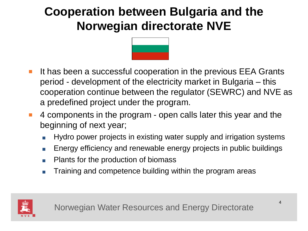### **Cooperation between Bulgaria and the Norwegian directorate NVE**



- It has been a successful cooperation in the previous EEA Grants period - development of the electricity market in Bulgaria – this cooperation continue between the regulator (SEWRC) and NVE as a predefined project under the program.
- 4 components in the program open calls later this year and the beginning of next year;
	- Hydro power projects in existing water supply and irrigation systems
	- Energy efficiency and renewable energy projects in public buildings
	- Plants for the production of biomass
	- Training and competence building within the program areas

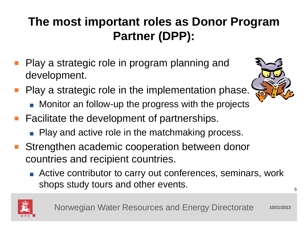### **The most important roles as Donor Program Partner (DPP):**

- Play a strategic role in program planning and development.
- Play a strategic role in the implementation phase.
	- Monitor an follow-up the progress with the projects
- Facilitate the development of partnerships.
	- Play and active role in the matchmaking process.
- Strengthen academic cooperation between donor countries and recipient countries.
	- Active contributor to carry out conferences, seminars, work shops study tours and other events.



Norwegian Water Resources and Energy Directorate 10/21/2013



5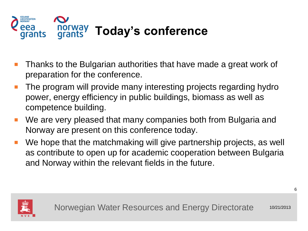

- Thanks to the Bulgarian authorities that have made a great work of preparation for the conference.
- The program will provide many interesting projects regarding hydro power, energy efficiency in public buildings, biomass as well as competence building.
- We are very pleased that many companies both from Bulgaria and Norway are present on this conference today.
- We hope that the matchmaking will give partnership projects, as well as contribute to open up for academic cooperation between Bulgaria and Norway within the relevant fields in the future.